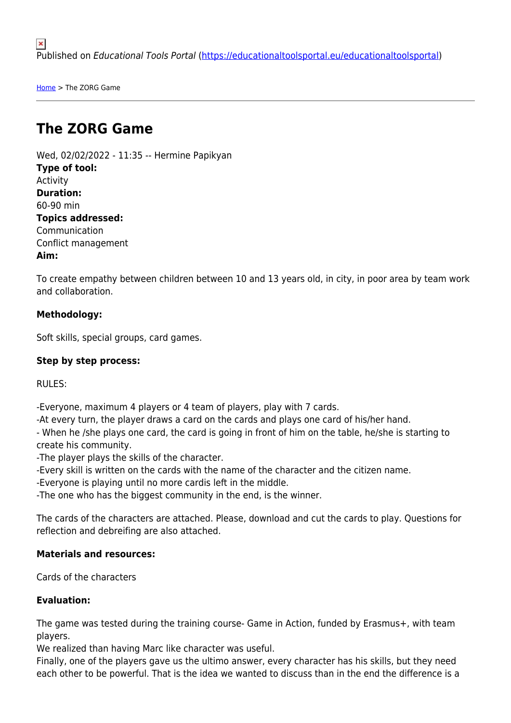[Home](https://educationaltoolsportal.eu/educationaltoolsportal/en) > The ZORG Game

# **The ZORG Game**

Wed, 02/02/2022 - 11:35 -- Hermine Papikyan **Type of tool:**  Activity **Duration:**  60-90 min **Topics addressed:**  Communication Conflict management **Aim:** 

To create empathy between children between 10 and 13 years old, in city, in poor area by team work and collaboration.

## **Methodology:**

Soft skills, special groups, card games.

#### **Step by step process:**

RULES:

-Everyone, maximum 4 players or 4 team of players, play with 7 cards.

-At every turn, the player draws a card on the cards and plays one card of his/her hand.

- When he /she plays one card, the card is going in front of him on the table, he/she is starting to create his community.

-The player plays the skills of the character.

-Every skill is written on the cards with the name of the character and the citizen name.

-Everyone is playing until no more cardis left in the middle.

-The one who has the biggest community in the end, is the winner.

The cards of the characters are attached. Please, download and cut the cards to play. Questions for reflection and debreifing are also attached.

#### **Materials and resources:**

Cards of the characters

#### **Evaluation:**

The game was tested during the training course- Game in Action, funded by Erasmus+, with team players.

We realized than having Marc like character was useful.

Finally, one of the players gave us the ultimo answer, every character has his skills, but they need each other to be powerful. That is the idea we wanted to discuss than in the end the difference is a